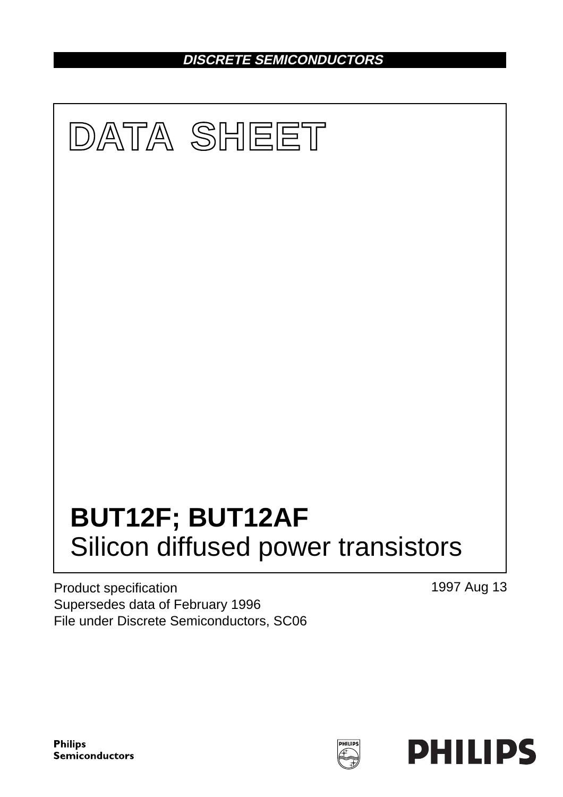**DISCRETE SEMICONDUCTORS**



Product specification Supersedes data of February 1996 File under Discrete Semiconductors, SC06 1997 Aug 13

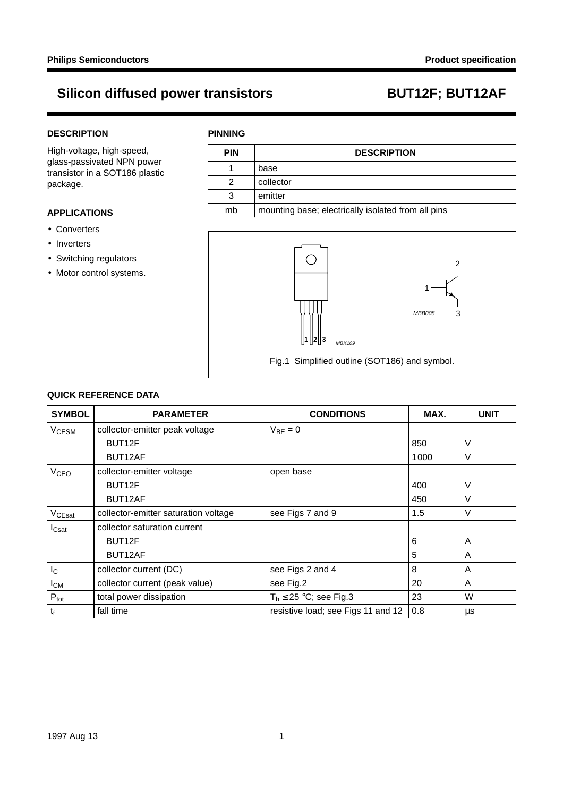### **DESCRIPTION**

High-voltage, high-speed, glass-passivated NPN power transistor in a SOT186 plastic package.

## **APPLICATIONS**

- Converters
- Inverters
- Switching regulators
- Motor control systems.

### **PINNING**

| <b>PIN</b> | <b>DESCRIPTION</b>                                 |  |
|------------|----------------------------------------------------|--|
|            | base                                               |  |
| 2          | collector                                          |  |
| 3          | emitter                                            |  |
| mb         | mounting base; electrically isolated from all pins |  |



## **QUICK REFERENCE DATA**

| <b>SYMBOL</b>      | <b>PARAMETER</b>                     | <b>CONDITIONS</b>                  | MAX. | <b>UNIT</b> |
|--------------------|--------------------------------------|------------------------------------|------|-------------|
| V <sub>CESM</sub>  | collector-emitter peak voltage       | $V_{BE} = 0$                       |      |             |
|                    | BUT <sub>12</sub> F                  |                                    | 850  | V           |
|                    | BUT12AF                              |                                    | 1000 | V           |
| V <sub>CEO</sub>   | collector-emitter voltage            | open base                          |      |             |
|                    | BUT12F                               |                                    | 400  | V           |
|                    | BUT12AF                              |                                    | 450  | V           |
| V <sub>CEsat</sub> | collector-emitter saturation voltage | see Figs 7 and 9                   | 1.5  | $\vee$      |
| $I_{\text{Csat}}$  | collector saturation current         |                                    |      |             |
|                    | BUT12F                               |                                    | 6    | A           |
|                    | BUT12AF                              |                                    | 5    | A           |
| I <sub>C</sub>     | collector current (DC)               | see Figs 2 and 4                   | 8    | A           |
| $I_{CM}$           | collector current (peak value)       | see Fig.2                          | 20   | A           |
| $P_{\text{tot}}$   | total power dissipation              | $T_h \leq 25$ °C; see Fig.3        | 23   | W           |
| $t_{\rm f}$        | fall time                            | resistive load; see Figs 11 and 12 | 0.8  | μs          |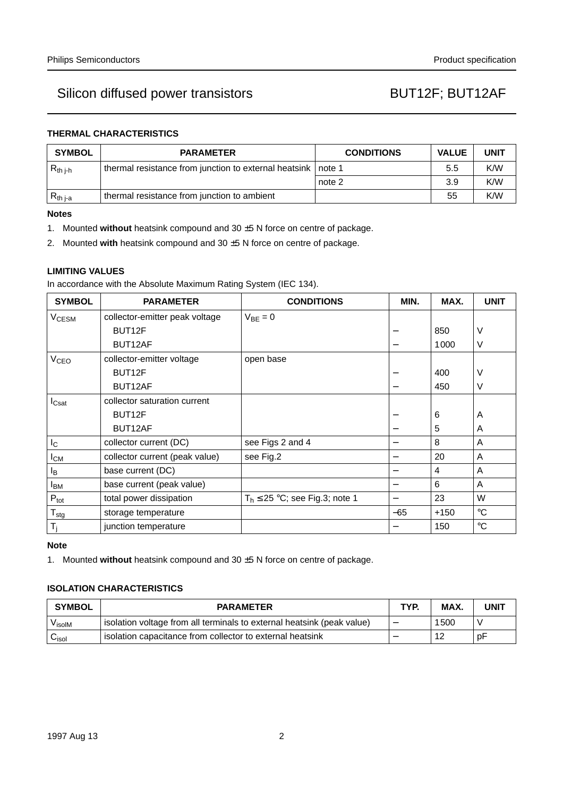## **THERMAL CHARACTERISTICS**

| <b>SYMBOL</b> | <b>PARAMETER</b>                                      | <b>CONDITIONS</b> | <b>VALUE</b> | <b>UNIT</b> |
|---------------|-------------------------------------------------------|-------------------|--------------|-------------|
| $R_{th i-h}$  | thermal resistance from junction to external heatsink | note 1            | 5.5          | K/W         |
|               |                                                       | note 2            | 3.9          | K/W         |
| $R_{th\ j-a}$ | thermal resistance from junction to ambient           |                   | 55           | K/W         |

### **Notes**

- 1. Mounted **without** heatsink compound and 30 ±5 N force on centre of package.
- 2. Mounted **with** heatsink compound and 30 ±5 N force on centre of package.

### **LIMITING VALUES**

In accordance with the Absolute Maximum Rating System (IEC 134).

| <b>SYMBOL</b>              | <b>PARAMETER</b>               | <b>CONDITIONS</b>                  | MIN.  | MAX.   | <b>UNIT</b> |
|----------------------------|--------------------------------|------------------------------------|-------|--------|-------------|
| <b>V<sub>CESM</sub></b>    | collector-emitter peak voltage | $V_{BE} = 0$                       |       |        |             |
|                            | BUT <sub>12</sub> F            |                                    |       | 850    | V           |
|                            | BUT12AF                        |                                    |       | 1000   | V           |
| <b>V<sub>CEO</sub></b>     | collector-emitter voltage      | open base                          |       |        |             |
|                            | BUT <sub>12</sub> F            |                                    |       | 400    | V           |
|                            | BUT12AF                        |                                    |       | 450    | V           |
| $I_{\text{Csat}}$          | collector saturation current   |                                    |       |        |             |
|                            | BUT <sub>12F</sub>             |                                    |       | 6      | A           |
|                            | BUT12AF                        |                                    |       | 5      | A           |
| $I_{\rm C}$                | collector current (DC)         | see Figs 2 and 4                   | —     | 8      | A           |
| $I_{CM}$                   | collector current (peak value) | see Fig.2                          |       | 20     | A           |
| l <sub>B</sub>             | base current (DC)              |                                    |       | 4      | A           |
| <b>I</b> <sub>BM</sub>     | base current (peak value)      |                                    |       | 6      | A           |
| $P_{\text{tot}}$           | total power dissipation        | $T_h \le 25$ °C; see Fig.3; note 1 |       | 23     | W           |
| ${\mathsf T}_{\text{stg}}$ | storage temperature            |                                    | $-65$ | $+150$ | $^{\circ}C$ |
| $T_i$                      | junction temperature           |                                    |       | 150    | $^{\circ}C$ |

### **Note**

1. Mounted **without** heatsink compound and 30 ±5 N force on centre of package.

### **ISOLATION CHARACTERISTICS**

| <b>SYMBOL</b>      | <b>PARAMETER</b>                                                       | TYP. | MAX. | UNIT |
|--------------------|------------------------------------------------------------------------|------|------|------|
| V <sub>isolM</sub> | isolation voltage from all terminals to external heatsink (peak value) |      | 1500 |      |
| ∪isol              | isolation capacitance from collector to external heatsink              |      | 12   | рF   |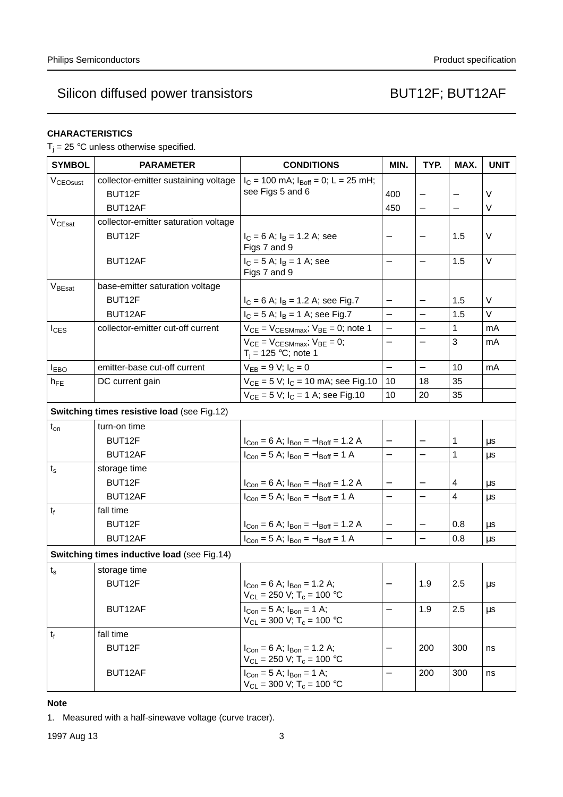## **CHARACTERISTICS**

 $T_i = 25$  °C unless otherwise specified.

| <b>SYMBOL</b>                               | <b>PARAMETER</b>                            | <b>CONDITIONS</b>                                                                | MIN.                     | TYP.                     | MAX.                    | <b>UNIT</b> |
|---------------------------------------------|---------------------------------------------|----------------------------------------------------------------------------------|--------------------------|--------------------------|-------------------------|-------------|
| V <sub>CEOsust</sub>                        | collector-emitter sustaining voltage        | $I_C = 100$ mA; $I_{Boff} = 0$ ; L = 25 mH;                                      |                          |                          |                         |             |
|                                             | BUT12F                                      | see Figs 5 and 6                                                                 | 400                      |                          |                         | V           |
|                                             | BUT12AF                                     |                                                                                  | 450                      |                          |                         | V           |
| V <sub>CEsat</sub>                          | collector-emitter saturation voltage        |                                                                                  |                          |                          |                         |             |
|                                             | BUT12F                                      | $I_C = 6$ A; $I_B = 1.2$ A; see<br>Figs 7 and 9                                  |                          |                          | 1.5                     | V           |
|                                             | BUT12AF                                     | $I_C = 5$ A; $I_B = 1$ A; see<br>Figs 7 and 9                                    | $\qquad \qquad -$        | $\qquad \qquad -$        | 1.5                     | V           |
| V <sub>BEsat</sub>                          | base-emitter saturation voltage             |                                                                                  |                          |                          |                         |             |
|                                             | BUT12F                                      | $I_C = 6$ A; $I_B = 1.2$ A; see Fig.7                                            | $\qquad \qquad -$        |                          | 1.5                     | V           |
|                                             | BUT12AF                                     | $I_C = 5$ A; $I_B = 1$ A; see Fig.7                                              | $\equiv$                 | $\overline{\phantom{0}}$ | 1.5                     | $\vee$      |
| $I_{\text{CES}}$                            | collector-emitter cut-off current           | $V_{CE}$ = $V_{CESMmax}$ ; $V_{BE}$ = 0; note 1                                  | $\qquad \qquad -$        | $\overline{\phantom{0}}$ | 1                       | mA          |
|                                             |                                             | $V_{CE}$ = $V_{CESMmax}$ ; $V_{BE}$ = 0;<br>$T_i = 125 °C$ ; note 1              | $\qquad \qquad -$        |                          | 3                       | mA          |
| <b>I</b> EBO                                | emitter-base cut-off current                | $V_{EB} = 9 V; I_C = 0$                                                          | $\overline{\phantom{0}}$ |                          | 10                      | mA          |
| $h_{FE}$                                    | DC current gain                             | $V_{CE} = 5 V$ ; $I_C = 10$ mA; see Fig.10                                       | 10                       | 18                       | 35                      |             |
|                                             |                                             | $V_{CE} = 5 V$ ; $I_C = 1 A$ ; see Fig.10                                        | 10                       | 20                       | 35                      |             |
|                                             | Switching times resistive load (see Fig.12) |                                                                                  |                          |                          |                         |             |
| $t_{on}$                                    | turn-on time                                |                                                                                  |                          |                          |                         |             |
|                                             | BUT12F                                      | $I_{Con} = 6$ A; $I_{Bon} = -I_{Boff} = 1.2$ A                                   |                          |                          | 1                       | μs          |
|                                             | BUT12AF                                     | $I_{Con} = 5$ A; $I_{Bon} = -I_{Boff} = 1$ A                                     | $\overline{\phantom{0}}$ | $\overline{\phantom{0}}$ | $\mathbf{1}$            | μs          |
| $t_{s}$                                     | storage time                                |                                                                                  |                          |                          |                         |             |
|                                             | BUT12F                                      | $I_{Con} = 6$ A; $I_{Bon} = -I_{Boff} = 1.2$ A                                   | $\qquad \qquad -$        | $\qquad \qquad -$        | 4                       | μs          |
|                                             | BUT12AF                                     | $I_{Con} = 5$ A; $I_{Bon} = -I_{Boff} = 1$ A                                     | $\overline{a}$           | $\equiv$                 | $\overline{\mathbf{4}}$ | $\mu s$     |
| $t_{f}$                                     | fall time                                   |                                                                                  |                          |                          |                         |             |
|                                             | BUT12F                                      | $I_{Con} = 6$ A; $I_{Bon} = -I_{Boff} = 1.2$ A                                   | $\qquad \qquad -$        | $\qquad \qquad -$        | 0.8                     | μs          |
|                                             | BUT12AF                                     | $I_{Con} = 5$ A; $I_{Bon} = -I_{Boff} = 1$ A                                     | $\equiv$                 | $\overline{\phantom{0}}$ | 0.8                     | $\mu s$     |
| Switching times inductive load (see Fig.14) |                                             |                                                                                  |                          |                          |                         |             |
| $t_{\rm s}$                                 | storage time                                |                                                                                  |                          |                          |                         |             |
|                                             | BUT12F                                      | $I_{Con} = 6$ A; $I_{Bon} = 1.2$ A;<br>$V_{CL}$ = 250 V; T <sub>c</sub> = 100 °C |                          | 1.9                      | 2.5                     | μs          |
|                                             | BUT12AF                                     | $I_{Con} = 5$ A; $I_{Bon} = 1$ A;<br>$V_{CL}$ = 300 V; T <sub>c</sub> = 100 °C   | $\overline{\phantom{0}}$ | 1.9                      | 2.5                     | $\mu s$     |
| $t_f$                                       | fall time                                   |                                                                                  |                          |                          |                         |             |
|                                             | BUT12F                                      | $I_{Con} = 6$ A; $I_{Bon} = 1.2$ A;<br>$V_{CL}$ = 250 V; T <sub>c</sub> = 100 °C |                          | 200                      | 300                     | ns          |
|                                             | BUT12AF                                     | $I_{Con} = 5$ A; $I_{Bon} = 1$ A;<br>$V_{CL}$ = 300 V; T <sub>c</sub> = 100 °C   |                          | 200                      | 300                     | ns          |

## **Note**

1. Measured with a half-sinewave voltage (curve tracer).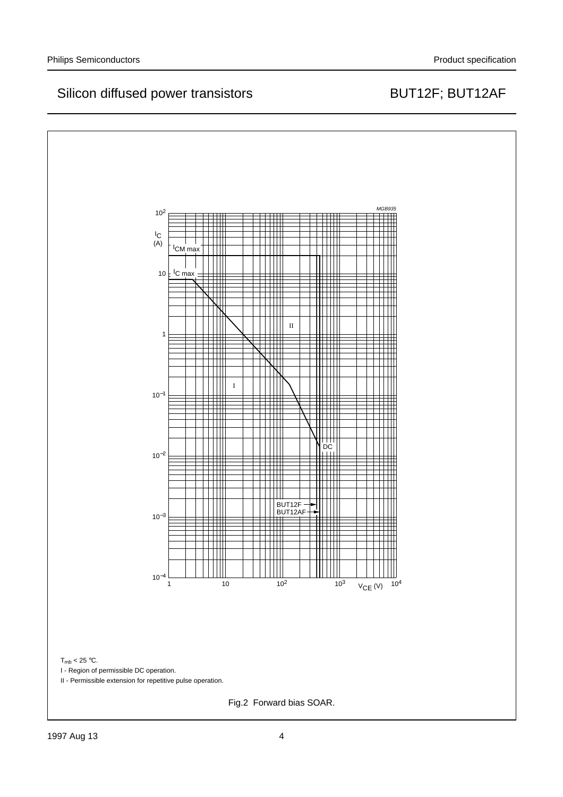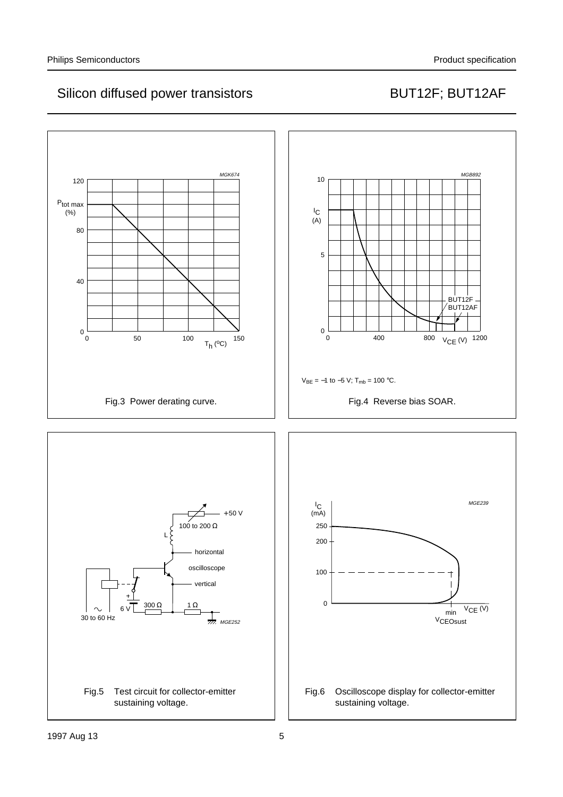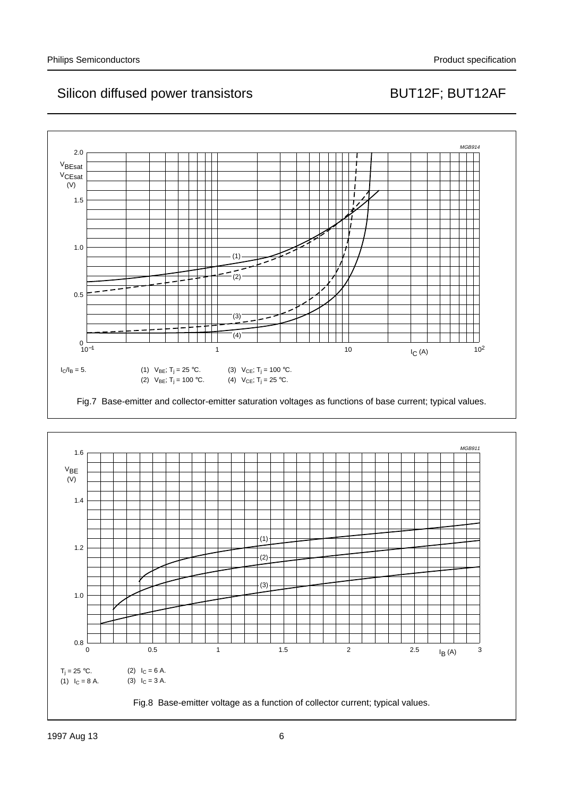

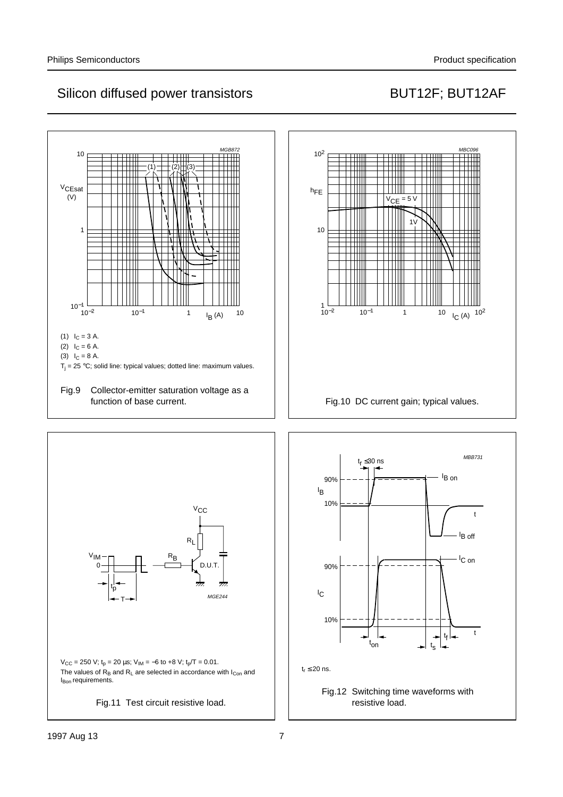





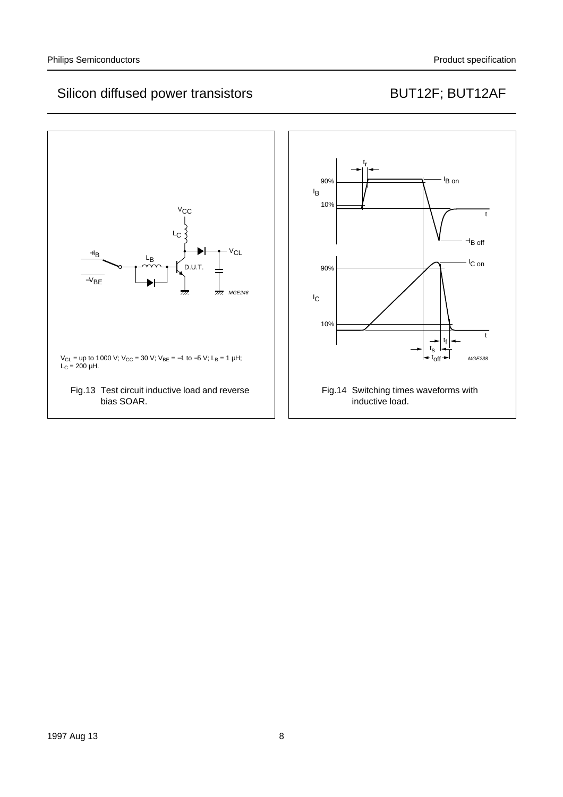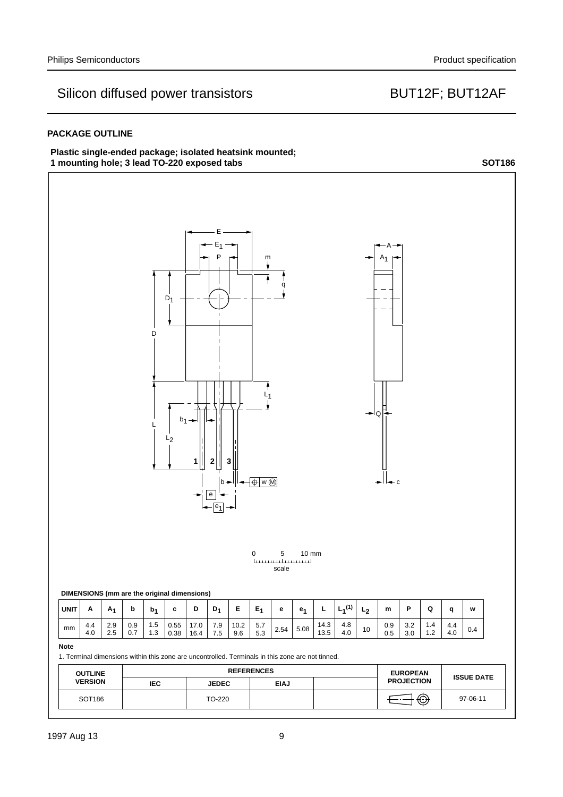### **PACKAGE OUTLINE**

### **Plastic single-ended package; isolated heatsink mounted;** 1 mounting hole; 3 lead TO-220 exposed tabs **SOT186**

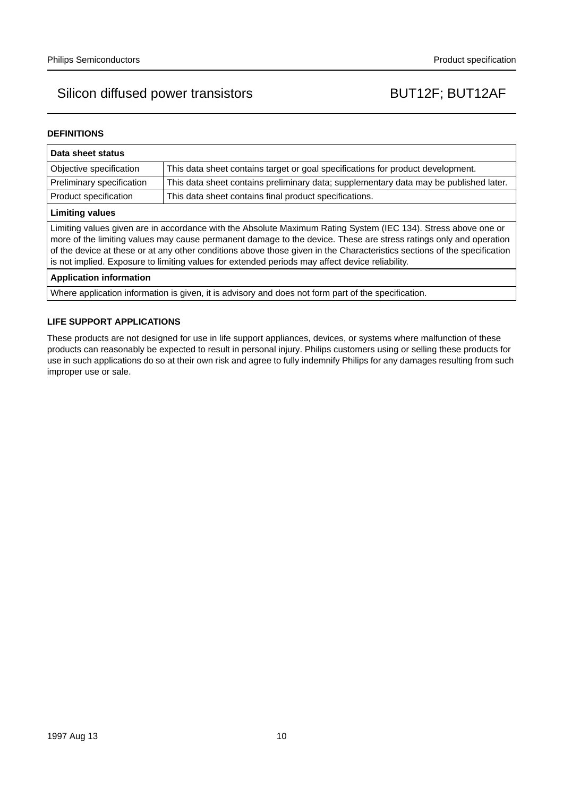### **DEFINITIONS**

| Data sheet status                                                                                                                                                                                                                                                                                                                                                                                                                                                  |                                                                                       |  |  |  |
|--------------------------------------------------------------------------------------------------------------------------------------------------------------------------------------------------------------------------------------------------------------------------------------------------------------------------------------------------------------------------------------------------------------------------------------------------------------------|---------------------------------------------------------------------------------------|--|--|--|
| This data sheet contains target or goal specifications for product development.<br>Objective specification                                                                                                                                                                                                                                                                                                                                                         |                                                                                       |  |  |  |
| Preliminary specification                                                                                                                                                                                                                                                                                                                                                                                                                                          | This data sheet contains preliminary data; supplementary data may be published later. |  |  |  |
| Product specification                                                                                                                                                                                                                                                                                                                                                                                                                                              | This data sheet contains final product specifications.                                |  |  |  |
| <b>Limiting values</b>                                                                                                                                                                                                                                                                                                                                                                                                                                             |                                                                                       |  |  |  |
| Limiting values given are in accordance with the Absolute Maximum Rating System (IEC 134). Stress above one or<br>more of the limiting values may cause permanent damage to the device. These are stress ratings only and operation<br>of the device at these or at any other conditions above those given in the Characteristics sections of the specification<br>is not implied. Exposure to limiting values for extended periods may affect device reliability. |                                                                                       |  |  |  |
| <b>Application information</b>                                                                                                                                                                                                                                                                                                                                                                                                                                     |                                                                                       |  |  |  |
| Where application information is given, it is advisory and does not form part of the specification.                                                                                                                                                                                                                                                                                                                                                                |                                                                                       |  |  |  |

### **LIFE SUPPORT APPLICATIONS**

These products are not designed for use in life support appliances, devices, or systems where malfunction of these products can reasonably be expected to result in personal injury. Philips customers using or selling these products for use in such applications do so at their own risk and agree to fully indemnify Philips for any damages resulting from such improper use or sale.